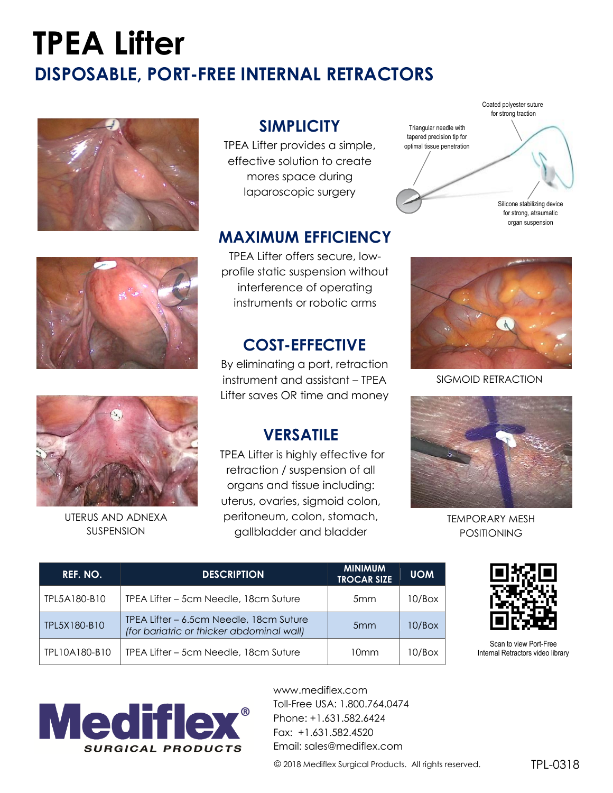## **TPEA Lifter DISPOSABLE, PORT-FREE INTERNAL RETRACTORS**





### **SIMPLICITY**

TPEA Lifter provides a simple, effective solution to create mores space during laparoscopic surgery

#### **MAXIMUM EFFICIENCY**

TPEA Lifter offers secure, lowprofile static suspension without interference of operating instruments or robotic arms

#### **COST-EFFECTIVE**

By eliminating a port, retraction instrument and assistant – TPEA Lifter saves OR time and money

#### **VERSATILE**

TPEA Lifter is highly effective for retraction / suspension of all organs and tissue including: uterus, ovaries, sigmoid colon, peritoneum, colon, stomach, gallbladder and bladder





SIGMOID RETRACTION



TEMPORARY MESH POSITIONING



Scan to view Port-Free Internal Retractors video library



UTERUS AND ADNEXA SUSPENSION

| REF. NO.      | <b>DESCRIPTION</b>                                                                   | <b>MINIMUM</b><br><b>TROCAR SIZE</b> | <b>UOM</b> |
|---------------|--------------------------------------------------------------------------------------|--------------------------------------|------------|
| TPL5A180-B10  | TPEA Lifter – 5cm Needle, 18cm Suture                                                | 5 <sub>mm</sub>                      | 10/Box     |
| TPL5X180-B10  | TPEA Lifter – 6.5cm Needle, 18cm Suture<br>(for bariatric or thicker abdominal wall) | 5 <sub>mm</sub>                      | 10/Box     |
| TPL10A180-B10 | TPEA Lifter – 5cm Needle, 18cm Suture                                                | 10mm                                 | 10/Box     |



www.mediflex.com Toll-Free USA: 1.800.764.0474 Phone: +1.631.582.6424 Fax: +1.631.582.4520 Email: [sales@mediflex.com](mailto:sales@mediflex.com)

© 2018 Mediflex Surgical Products. All rights reserved.